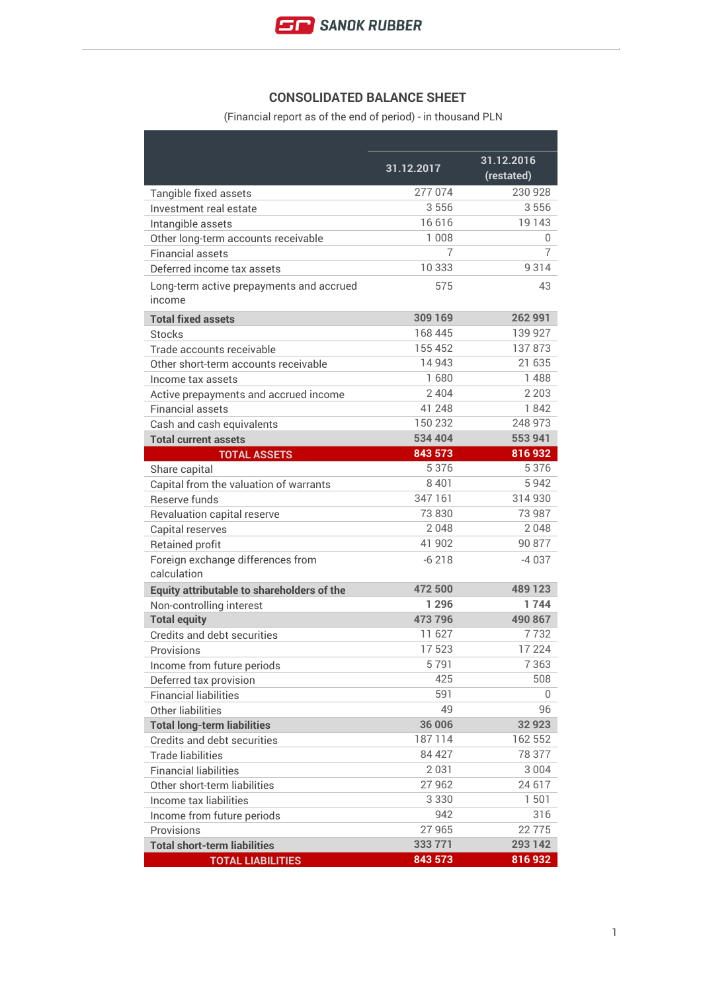

## **CONSOLIDATED BALANCE SHEET**

(Financial report as of the end of period) - in thousand PLN

|                                                    | 31.12.2017 | 31.12.2016<br>(restated) |
|----------------------------------------------------|------------|--------------------------|
| Tangible fixed assets                              | 277 074    | 230 928                  |
| Investment real estate                             | 3556       | 3556                     |
| Intangible assets                                  | 16616      | 19 143                   |
| Other long-term accounts receivable                | 1 0 0 8    | 0                        |
| <b>Financial assets</b>                            | 7          | 7                        |
| Deferred income tax assets                         | 10 333     | 9314                     |
| Long-term active prepayments and accrued<br>income | 575        | 43                       |
| <b>Total fixed assets</b>                          | 309 169    | 262 991                  |
| <b>Stocks</b>                                      | 168 445    | 139 927                  |
| Trade accounts receivable                          | 155 452    | 137873                   |
| Other short-term accounts receivable               | 14 943     | 21 635                   |
| Income tax assets                                  | 1680       | 1488                     |
| Active prepayments and accrued income              | 2 4 0 4    | 2 2 0 3                  |
| <b>Financial assets</b>                            | 41 248     | 1842                     |
| Cash and cash equivalents                          | 150 232    | 248 973                  |
| <b>Total current assets</b>                        | 534 404    | 553 941                  |
| <b>TOTAL ASSETS</b>                                | 843 573    | 816932                   |
| Share capital                                      | 5 3 7 6    | 5376                     |
| Capital from the valuation of warrants             | 8 4 0 1    | 5942                     |
| Reserve funds                                      | 347 161    | 314 930                  |
| Revaluation capital reserve                        | 73 830     | 73 987                   |
| Capital reserves                                   | 2048       | 2048                     |
| Retained profit                                    | 41 902     | 90 877                   |
| Foreign exchange differences from<br>calculation   | $-6218$    | -4 037                   |
| Equity attributable to shareholders of the         | 472 500    | 489 123                  |
| Non-controlling interest                           | 1 2 9 6    | 1744                     |
| <b>Total equity</b>                                | 473 796    | 490 867                  |
| Credits and debt securities                        | 11 627     | 7732                     |
| Provisions                                         | 17523      | 17 2 2 4                 |
| Income from future periods                         | 5791       | 7 363                    |
| Deferred tax provision                             | 425        | 508                      |
| <b>Financial liabilities</b>                       | 591        | 0                        |
| Other liabilities                                  | 49         | 96                       |
| <b>Total long-term liabilities</b>                 | 36 006     | 32 923                   |
| Credits and debt securities                        | 187114     | 162 552                  |
| <b>Trade liabilities</b>                           | 84 427     | 78 377                   |
| <b>Financial liabilities</b>                       | 2 0 3 1    | 3 0 0 4                  |
| Other short-term liabilities                       | 27 962     | 24 617                   |
| Income tax liabilities                             | 3 3 3 0    | 1501                     |
| Income from future periods                         | 942        | 316                      |
| Provisions                                         | 27 965     | 22775                    |
| <b>Total short-term liabilities</b>                | 333 771    | 293 142                  |
| <b>TOTAL LIABILITIES</b>                           | 843 573    | 816932                   |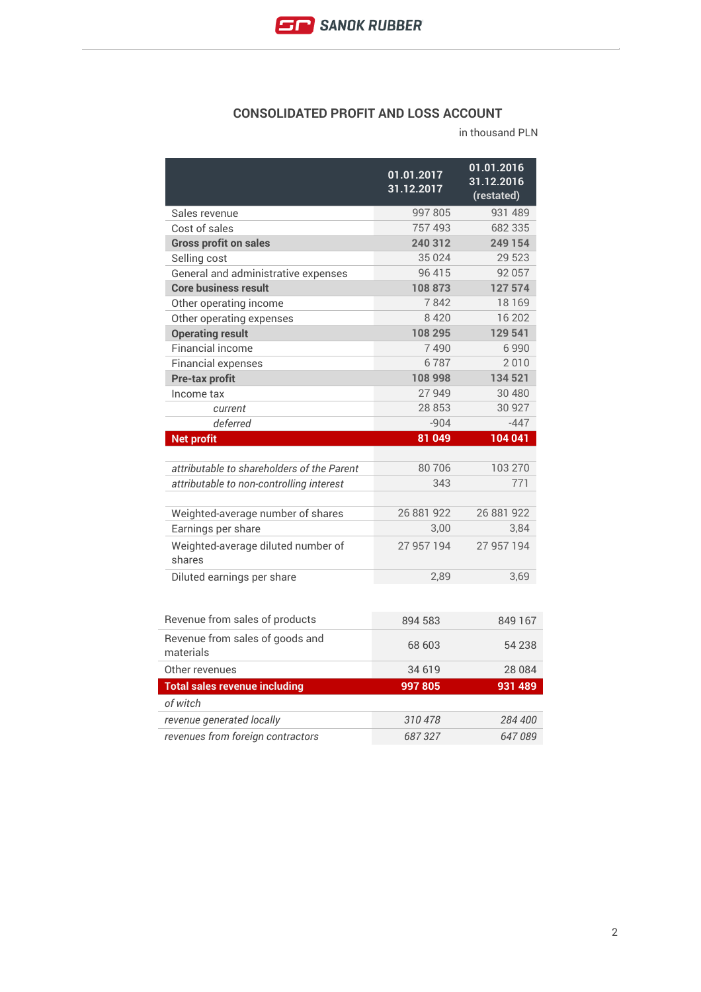

## **CONSOLIDATED PROFIT AND LOSS ACCOUNT**

in thousand PLN

|                                              | 01.01.2017<br>31.12.2017 | 01.01.2016<br>31.12.2016<br>(restated) |
|----------------------------------------------|--------------------------|----------------------------------------|
| Sales revenue                                | 997 805                  | 931 489                                |
| Cost of sales                                | 757 493                  | 682 335                                |
| <b>Gross profit on sales</b>                 | 240 312                  | 249 154                                |
| Selling cost                                 | 35 0 24                  | 29 523                                 |
| General and administrative expenses          | 96 415                   | 92 057                                 |
| <b>Core business result</b>                  | 108873                   | 127 574                                |
| Other operating income                       | 7842                     | 18 169                                 |
| Other operating expenses                     | 8420                     | 16 202                                 |
| <b>Operating result</b>                      | 108 295                  | 129 541                                |
| Financial income                             | 7490                     | 6990                                   |
| <b>Financial expenses</b>                    | 6787                     | 2010                                   |
| Pre-tax profit                               | 108 998                  | 134 521                                |
| Income tax                                   | 27 949                   | 30 480                                 |
| current                                      | 28 853                   | 30 927                                 |
| deferred                                     | $-904$                   | $-447$                                 |
| <b>Net profit</b>                            | 81 049                   | 104 041                                |
| attributable to shareholders of the Parent   | 80706                    | 103 270                                |
| attributable to non-controlling interest     | 343                      | 771                                    |
| Weighted-average number of shares            | 26 881 922               | 26 881 922                             |
| Earnings per share                           | 3,00                     | 3,84                                   |
| Weighted-average diluted number of<br>shares | 27 957 194               | 27 957 194                             |
| Diluted earnings per share                   | 2,89                     | 3,69                                   |
| Revenue from sales of products               | 894 583                  | 849 167                                |
| Revenue from sales of goods and<br>materials | 68 603                   | 54 238                                 |
| Other revenues                               | 34 619                   | 28 084                                 |
| <b>Total sales revenue including</b>         | 997805                   | 931 489                                |
| of witch                                     |                          |                                        |
| revenue generated locally                    | 310478                   | 284 400                                |
| revenues from foreign contractors            | 687327                   | 647089                                 |